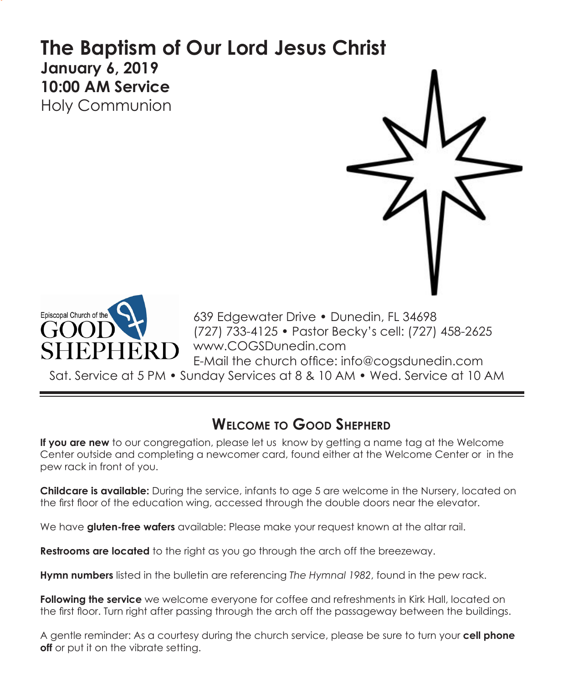# **The Baptism of Our Lord Jesus Christ January 6, 2019 10:00 AM Service**  Holy Communion





639 Edgewater Drive • Dunedin, FL 34698 (727) 733-4125 • Pastor Becky's cell: (727) 458-2625 www.COGSDunedin.com E-Mail the church office: info@cogsdunedin.com

Sat. Service at 5 PM • Sunday Services at 8 & 10 AM • Wed. Service at 10 AM

# **Welcome to Good Shepherd**

**If you are new** to our congregation, please let us know by getting a name tag at the Welcome Center outside and completing a newcomer card, found either at the Welcome Center or in the pew rack in front of you.

**Childcare is available:** During the service, infants to age 5 are welcome in the Nursery, located on the first floor of the education wing, accessed through the double doors near the elevator.

We have **gluten-free wafers** available: Please make your request known at the altar rail.

**Restrooms are located** to the right as you go through the arch off the breezeway.

**Hymn numbers** listed in the bulletin are referencing *The Hymnal 1982*, found in the pew rack.

**Following the service** we welcome everyone for coffee and refreshments in Kirk Hall, located on the first floor. Turn right after passing through the arch off the passageway between the buildings.

A gentle reminder: As a courtesy during the church service, please be sure to turn your **cell phone off** or put it on the vibrate setting.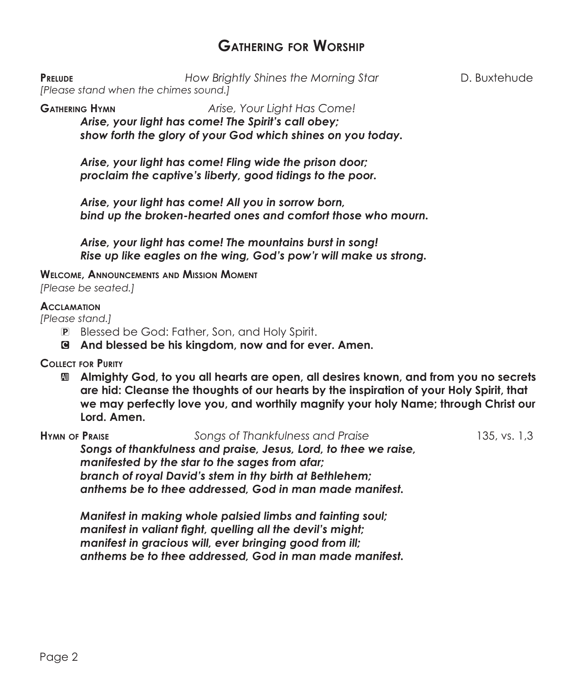# **Gathering for Worship**

**PRELUDE** *How Brightly Shines the Morning Star* **<b>D. Buxtehude** *[Please stand when the chimes sound.]*

**Gathering Hymn** *Arise, Your Light Has Come! Arise, your light has come! The Spirit's call obey; show forth the glory of your God which shines on you today.*

> *Arise, your light has come! Fling wide the prison door; proclaim the captive's liberty, good tidings to the poor.*

*Arise, your light has come! All you in sorrow born, bind up the broken-hearted ones and comfort those who mourn.*

*Arise, your light has come! The mountains burst in song! Rise up like eagles on the wing, God's pow'r will make us strong.*

**Welcome, Announcements and Mission Moment**

*[Please be seated.]*

### **Acclamation**

*[Please stand.]*

- P Blessed be God: Father, Son, and Holy Spirit.
- C **And blessed be his kingdom, now and for ever. Amen.**

**Collect for Purity**

a **Almighty God, to you all hearts are open, all desires known, and from you no secrets are hid: Cleanse the thoughts of our hearts by the inspiration of your Holy Spirit, that we may perfectly love you, and worthily magnify your holy Name; through Christ our Lord. Amen.**

**Hymn of Praise** *Songs of Thankfulness and Praise* 135, vs. 1,3 *Songs of thankfulness and praise, Jesus, Lord, to thee we raise, manifested by the star to the sages from afar; branch of royal David's stem in thy birth at Bethlehem; anthems be to thee addressed, God in man made manifest.*

*Manifest in making whole palsied limbs and fainting soul; manifest in valiant fight, quelling all the devil's might; manifest in gracious will, ever bringing good from ill; anthems be to thee addressed, God in man made manifest.*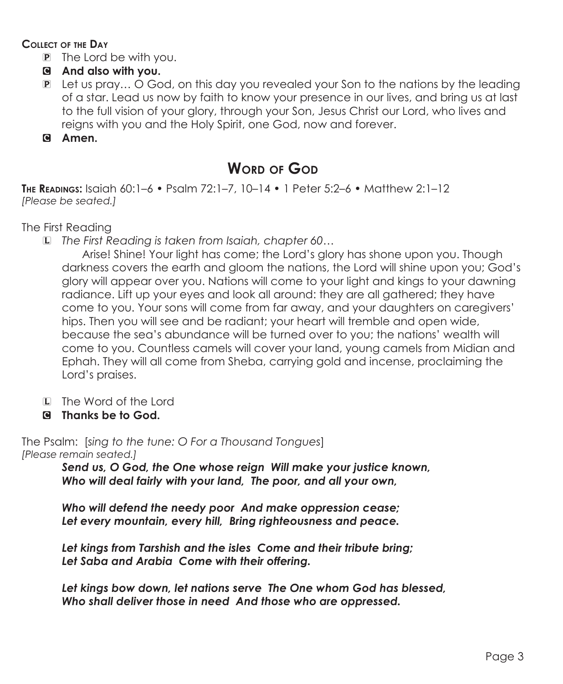## **Collect of the Day**

- P The Lord be with you.
- C **And also with you.**
- P Let us pray… O God, on this day you revealed your Son to the nations by the leading of a star. Lead us now by faith to know your presence in our lives, and bring us at last to the full vision of your glory, through your Son, Jesus Christ our Lord, who lives and reigns with you and the Holy Spirit, one God, now and forever.
- C **Amen.**

# **Word of God**

**The Readings:** Isaiah 60:1–6 • Psalm 72:1–7, 10–14 • 1 Peter 5:2–6 • Matthew 2:1–12 *[Please be seated.]*

The First Reading

L *The First Reading is taken from Isaiah, chapter 60…*

Arise! Shine! Your light has come; the Lord's glory has shone upon you. Though darkness covers the earth and gloom the nations, the Lord will shine upon you; God's glory will appear over you. Nations will come to your light and kings to your dawning radiance. Lift up your eyes and look all around: they are all gathered; they have come to you. Your sons will come from far away, and your daughters on caregivers' hips. Then you will see and be radiant; your heart will tremble and open wide, because the sea's abundance will be turned over to you; the nations' wealth will come to you. Countless camels will cover your land, young camels from Midian and Ephah. They will all come from Sheba, carrying gold and incense, proclaiming the Lord's praises.

- L The Word of the Lord
- C **Thanks be to God.**

The Psalm: [*sing to the tune: O For a Thousand Tongues*] *[Please remain seated.]*

*Send us, O God, the One whose reign Will make your justice known, Who will deal fairly with your land, The poor, and all your own,*

*Who will defend the needy poor And make oppression cease; Let every mountain, every hill, Bring righteousness and peace.*

*Let kings from Tarshish and the isles Come and their tribute bring; Let Saba and Arabia Come with their offering.*

*Let kings bow down, let nations serve The One whom God has blessed, Who shall deliver those in need And those who are oppressed.*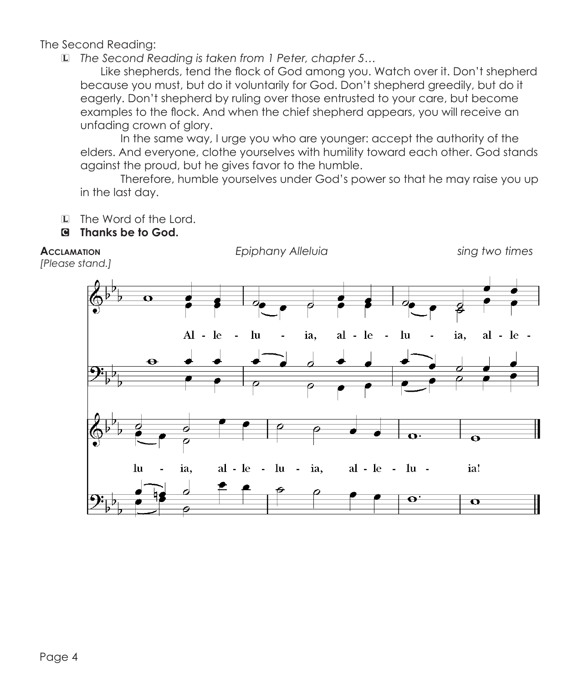The Second Reading:

L *The Second Reading is taken from 1 Peter, chapter 5…*

Like shepherds, tend the flock of God among you. Watch over it. Don't shepherd because you must, but do it voluntarily for God. Don't shepherd greedily, but do it eagerly. Don't shepherd by ruling over those entrusted to your care, but become examples to the flock. And when the chief shepherd appears, you will receive an unfading crown of glory.

 In the same way, I urge you who are younger: accept the authority of the elders. And everyone, clothe yourselves with humility toward each other. God stands against the proud, but he gives favor to the humble.

Therefore, humble yourselves under God's power so that he may raise you up in the last day.

- L The Word of the Lord.
- C **Thanks be to God.**





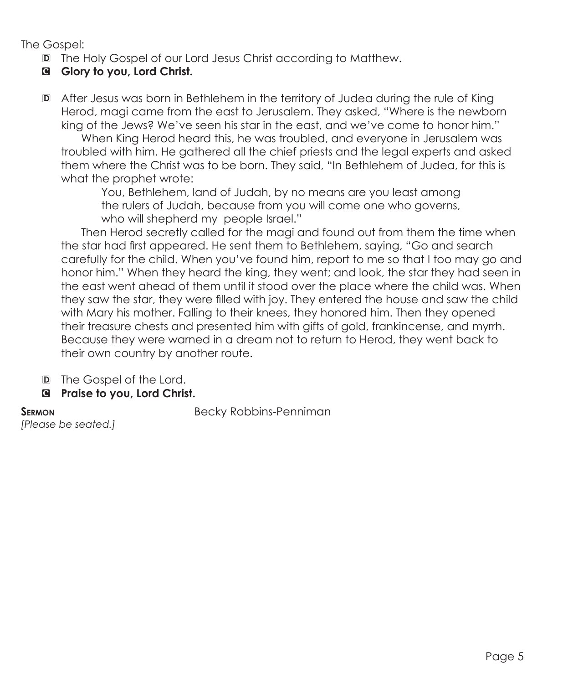The Gospel:

- D The Holy Gospel of our Lord Jesus Christ according to Matthew.
- C **Glory to you, Lord Christ.**
- D After Jesus was born in Bethlehem in the territory of Judea during the rule of King Herod, magi came from the east to Jerusalem. They asked, "Where is the newborn king of the Jews? We've seen his star in the east, and we've come to honor him."

 When King Herod heard this, he was troubled, and everyone in Jerusalem was troubled with him. He gathered all the chief priests and the legal experts and asked them where the Christ was to be born. They said, "In Bethlehem of Judea, for this is what the prophet wrote:

 You, Bethlehem, land of Judah, by no means are you least among the rulers of Judah, because from you will come one who governs, who will shepherd my people Israel."

Then Herod secretly called for the magi and found out from them the time when the star had first appeared. He sent them to Bethlehem, saying, "Go and search carefully for the child. When you've found him, report to me so that I too may go and honor him." When they heard the king, they went; and look, the star they had seen in the east went ahead of them until it stood over the place where the child was. When they saw the star, they were filled with joy. They entered the house and saw the child with Mary his mother. Falling to their knees, they honored him. Then they opened their treasure chests and presented him with gifts of gold, frankincense, and myrrh. Because they were warned in a dream not to return to Herod, they went back to their own country by another route.

D The Gospel of the Lord.

C **Praise to you, Lord Christ.** 

*[Please be seated.]*

**SERMON** Becky Robbins-Penniman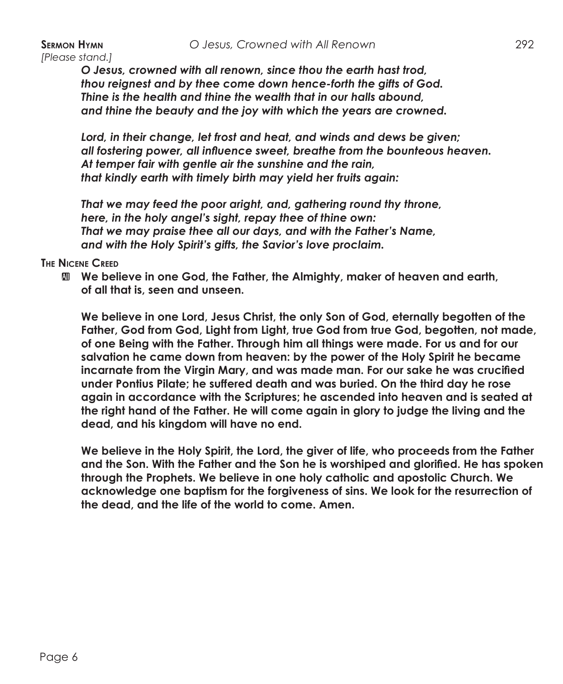*[Please stand.]*

*O Jesus, crowned with all renown, since thou the earth hast trod, thou reignest and by thee come down hence-forth the gifts of God. Thine is the health and thine the wealth that in our halls abound, and thine the beauty and the joy with which the years are crowned.*

*Lord, in their change, let frost and heat, and winds and dews be given; all fostering power, all influence sweet, breathe from the bounteous heaven. At temper fair with gentle air the sunshine and the rain, that kindly earth with timely birth may yield her fruits again:*

*That we may feed the poor aright, and, gathering round thy throne, here, in the holy angel's sight, repay thee of thine own: That we may praise thee all our days, and with the Father's Name, and with the Holy Spirit's gifts, the Savior's love proclaim.*

**The Nicene Creed**

**M** We believe in one God, the Father, the Almighty, maker of heaven and earth,  **of all that is, seen and unseen.**

 **We believe in one Lord, Jesus Christ, the only Son of God, eternally begotten of the Father, God from God, Light from Light, true God from true God, begotten, not made, of one Being with the Father. Through him all things were made. For us and for our salvation he came down from heaven: by the power of the Holy Spirit he became incarnate from the Virgin Mary, and was made man. For our sake he was crucified under Pontius Pilate; he suffered death and was buried. On the third day he rose again in accordance with the Scriptures; he ascended into heaven and is seated at the right hand of the Father. He will come again in glory to judge the living and the dead, and his kingdom will have no end.**

 **We believe in the Holy Spirit, the Lord, the giver of life, who proceeds from the Father and the Son. With the Father and the Son he is worshiped and glorified. He has spoken through the Prophets. We believe in one holy catholic and apostolic Church. We acknowledge one baptism for the forgiveness of sins. We look for the resurrection of the dead, and the life of the world to come. Amen.**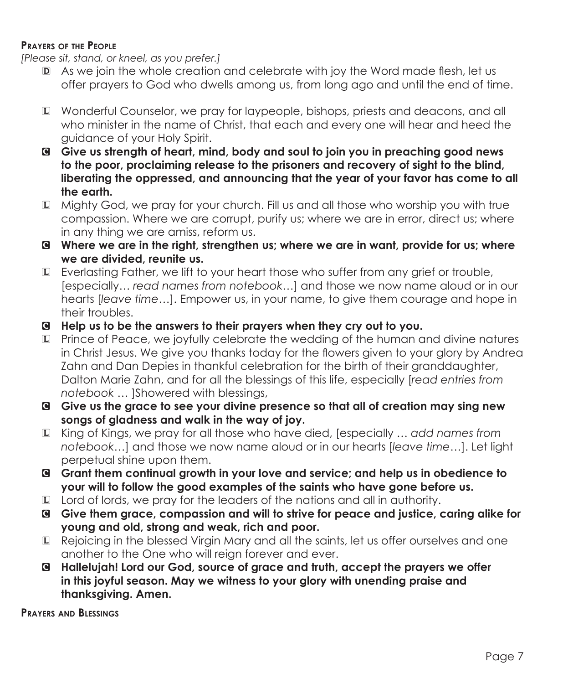### **Prayers of the People**

*[Please sit, stand, or kneel, as you prefer.]*

- D As we join the whole creation and celebrate with joy the Word made flesh, let us offer prayers to God who dwells among us, from long ago and until the end of time.
- L Wonderful Counselor, we pray for laypeople, bishops, priests and deacons, and all who minister in the name of Christ, that each and every one will hear and heed the guidance of your Holy Spirit.
- C **Give us strength of heart, mind, body and soul to join you in preaching good news to the poor, proclaiming release to the prisoners and recovery of sight to the blind, liberating the oppressed, and announcing that the year of your favor has come to all the earth.**
- L Mighty God, we pray for your church. Fill us and all those who worship you with true compassion. Where we are corrupt, purify us; where we are in error, direct us; where in any thing we are amiss, reform us.
- C **Where we are in the right, strengthen us; where we are in want, provide for us; where we are divided, reunite us.**
- L Everlasting Father, we lift to your heart those who suffer from any grief or trouble, [especially… *read names from notebook…*] and those we now name aloud or in our hearts [*leave time…*]. Empower us, in your name, to give them courage and hope in their troubles.
- C **Help us to be the answers to their prayers when they cry out to you.**
- L Prince of Peace, we joyfully celebrate the wedding of the human and divine natures in Christ Jesus. We give you thanks today for the flowers given to your glory by Andrea Zahn and Dan Depies in thankful celebration for the birth of their granddaughter, Dalton Marie Zahn, and for all the blessings of this life, especially [*read entries from notebook …* ]Showered with blessings,
- C **Give us the grace to see your divine presence so that all of creation may sing new songs of gladness and walk in the way of joy.**
- L King of Kings, we pray for all those who have died, [especially *… add names from notebook…*] and those we now name aloud or in our hearts [*leave time…*]. Let light perpetual shine upon them.
- C **Grant them continual growth in your love and service; and help us in obedience to your will to follow the good examples of the saints who have gone before us.**
- L Lord of lords, we pray for the leaders of the nations and all in authority.
- C **Give them grace, compassion and will to strive for peace and justice, caring alike for young and old, strong and weak, rich and poor.**
- L Rejoicing in the blessed Virgin Mary and all the saints, let us offer ourselves and one another to the One who will reign forever and ever.
- C **Hallelujah! Lord our God, source of grace and truth, accept the prayers we offer in this joyful season. May we witness to your glory with unending praise and thanksgiving. Amen.**

**Prayers and Blessings**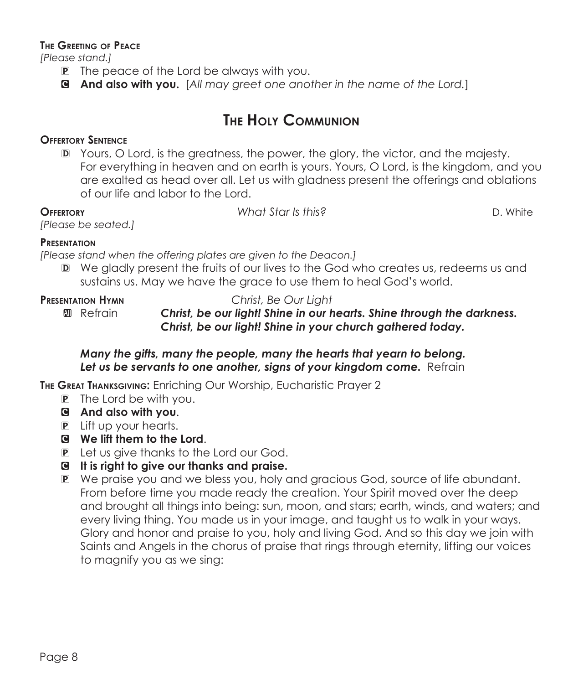### **The Greeting of Peace**

*[Please stand.]*

- P The peace of the Lord be always with you.
- C **And also with you.** [*All may greet one another in the name of the Lord.*]

# **The Holy Communion**

# **Offertory Sentence**

D Yours, O Lord, is the greatness, the power, the glory, the victor, and the majesty. For everything in heaven and on earth is yours. Yours, O Lord, is the kingdom, and you are exalted as head over all. Let us with gladness present the offerings and oblations of our life and labor to the Lord.

*[Please be seated.]* 

**Offertory** *What Star Is this?* D. White

### **Presentation**

*[Please stand when the offering plates are given to the Deacon.]*

D We gladly present the fruits of our lives to the God who creates us, redeems us and sustains us. May we have the grace to use them to heal God's world.

**Presentation Hymn** *Christ, Be Our Light*

a Refrain *Christ, be our light! Shine in our hearts. Shine through the darkness. Christ, be our light! Shine in your church gathered today.*

# *Many the gifts, many the people, many the hearts that yearn to belong. Let us be servants to one another, signs of your kingdom come.* Refrain

**The Great Thanksgiving:** Enriching Our Worship, Eucharistic Prayer 2

- P The Lord be with you.
- C **And also with you**.
- P Lift up your hearts.
- C **We lift them to the Lord**.
- P Let us give thanks to the Lord our God.
- C **It is right to give our thanks and praise.**
- P We praise you and we bless you, holy and gracious God, source of life abundant. From before time you made ready the creation. Your Spirit moved over the deep and brought all things into being: sun, moon, and stars; earth, winds, and waters; and every living thing. You made us in your image, and taught us to walk in your ways. Glory and honor and praise to you, holy and living God. And so this day we join with Saints and Angels in the chorus of praise that rings through eternity, lifting our voices to magnify you as we sing: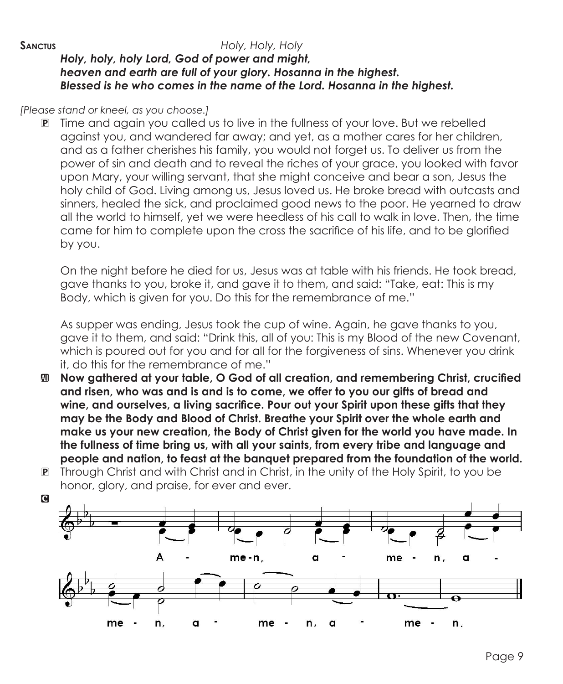# **Sanctus** *Holy, Holy, Holy*

# *Holy, holy, holy Lord, God of power and might, heaven and earth are full of your glory. Hosanna in the highest. Blessed is he who comes in the name of the Lord. Hosanna in the highest.*

# *[Please stand or kneel, as you choose.]*

P Time and again you called us to live in the fullness of your love. But we rebelled against you, and wandered far away; and yet, as a mother cares for her children, and as a father cherishes his family, you would not forget us. To deliver us from the power of sin and death and to reveal the riches of your grace, you looked with favor upon Mary, your willing servant, that she might conceive and bear a son, Jesus the holy child of God. Living among us, Jesus loved us. He broke bread with outcasts and sinners, healed the sick, and proclaimed good news to the poor. He yearned to draw all the world to himself, yet we were heedless of his call to walk in love. Then, the time came for him to complete upon the cross the sacrifice of his life, and to be glorified by you.

 On the night before he died for us, Jesus was at table with his friends. He took bread, gave thanks to you, broke it, and gave it to them, and said: "Take, eat: This is my Body, which is given for you. Do this for the remembrance of me."

 As supper was ending, Jesus took the cup of wine. Again, he gave thanks to you, gave it to them, and said: "Drink this, all of you: This is my Blood of the new Covenant, which is poured out for you and for all for the forgiveness of sins. Whenever you drink it, do this for the remembrance of me."

- a **Now gathered at your table, O God of all creation, and remembering Christ, crucified and risen, who was and is and is to come, we offer to you our gifts of bread and wine, and ourselves, a living sacrifice. Pour out your Spirit upon these gifts that they may be the Body and Blood of Christ. Breathe your Spirit over the whole earth and make us your new creation, the Body of Christ given for the world you have made. In the fullness of time bring us, with all your saints, from every tribe and language and people and nation, to feast at the banquet prepared from the foundation of the world.**
- P Through Christ and with Christ and in Christ, in the unity of the Holy Spirit, to you be honor, glory, and praise, for ever and ever.

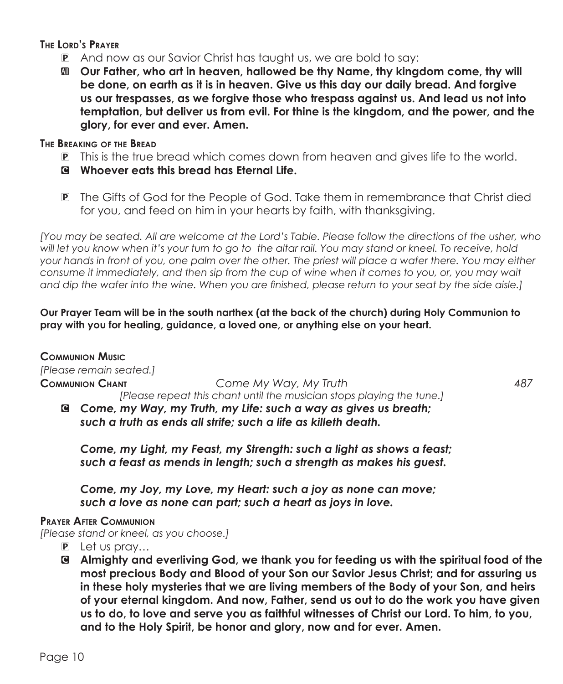**The Lord's Prayer**

- P And now as our Savior Christ has taught us, we are bold to say:
- a **Our Father, who art in heaven, hallowed be thy Name, thy kingdom come, thy will be done, on earth as it is in heaven. Give us this day our daily bread. And forgive us our trespasses, as we forgive those who trespass against us. And lead us not into temptation, but deliver us from evil. For thine is the kingdom, and the power, and the glory, for ever and ever. Amen.**

## **The Breaking of the Bread**

- P This is the true bread which comes down from heaven and gives life to the world.
- C **Whoever eats this bread has Eternal Life.**
- P The Gifts of God for the People of God. Take them in remembrance that Christ died for you, and feed on him in your hearts by faith, with thanksgiving.

*[You may be seated. All are welcome at the Lord's Table. Please follow the directions of the usher, who will let you know when it's your turn to go to the altar rail. You may stand or kneel. To receive, hold your hands in front of you, one palm over the other. The priest will place a wafer there. You may either consume it immediately, and then sip from the cup of wine when it comes to you, or, you may wait and dip the wafer into the wine. When you are finished, please return to your seat by the side aisle.]*

### **Our Prayer Team will be in the south narthex (at the back of the church) during Holy Communion to pray with you for healing, guidance, a loved one, or anything else on your heart.**

## **Communion Music**

*[Please remain seated.]*

**Communion Chant** *Come My Way, My Truth 487 [Please repeat this chant until the musician stops playing the tune.]*

C *Come, my Way, my Truth, my Life: such a way as gives us breath; such a truth as ends all strife; such a life as killeth death.*

*Come, my Light, my Feast, my Strength: such a light as shows a feast; such a feast as mends in length; such a strength as makes his guest.*

*Come, my Joy, my Love, my Heart: such a joy as none can move; such a love as none can part; such a heart as joys in love.* 

# **Prayer After Communion**

*[Please stand or kneel, as you choose.]*

- P Let us pray…
- C **Almighty and everliving God, we thank you for feeding us with the spiritual food of the most precious Body and Blood of your Son our Savior Jesus Christ; and for assuring us in these holy mysteries that we are living members of the Body of your Son, and heirs of your eternal kingdom. And now, Father, send us out to do the work you have given us to do, to love and serve you as faithful witnesses of Christ our Lord. To him, to you, and to the Holy Spirit, be honor and glory, now and for ever. Amen.**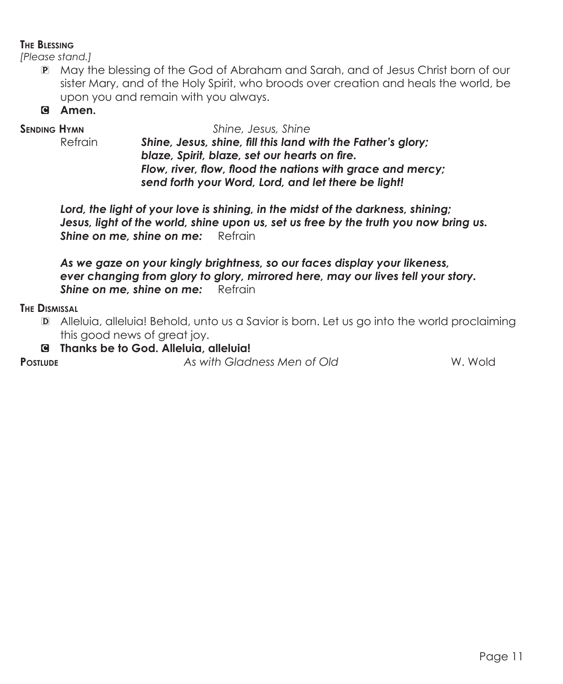## **The Blessing**

*[Please stand.]*

P May the blessing of the God of Abraham and Sarah, and of Jesus Christ born of our sister Mary, and of the Holy Spirit, who broods over creation and heals the world, be upon you and remain with you always.

# C **Amen.**

**Sending Hymn** *Shine, Jesus, Shine*

Refrain *Shine, Jesus, shine, fill this land with the Father's glory; blaze, Spirit, blaze, set our hearts on fire. Flow, river, flow, flood the nations with grace and mercy; send forth your Word, Lord, and let there be light!*

*Lord, the light of your love is shining, in the midst of the darkness, shining; Jesus, light of the world, shine upon us, set us free by the truth you now bring us. Shine on me, shine on me:* Refrain

*As we gaze on your kingly brightness, so our faces display your likeness, ever changing from glory to glory, mirrored here, may our lives tell your story. Shine on me, shine on me:* Refrain

## **The Dismissal**

- D Alleluia, alleluia! Behold, unto us a Savior is born. Let us go into the world proclaiming this good news of great joy.
- C **Thanks be to God. Alleluia, alleluia!**

**Postlude** *As with Gladness Men of Old* W. Wold